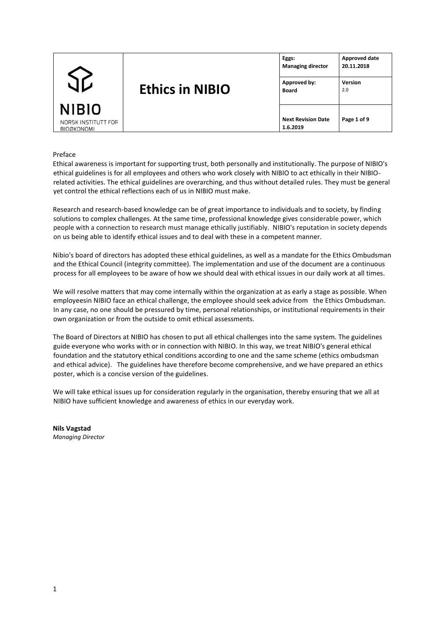|                                          |                        | Eggs:<br><b>Managing director</b>     | Approved date<br>20.11.2018 |
|------------------------------------------|------------------------|---------------------------------------|-----------------------------|
|                                          | <b>Ethics in NIBIO</b> | Approved by:<br><b>Board</b>          | <b>Version</b><br>2.0       |
| <b>NIBIO</b>                             |                        |                                       |                             |
| NORSK INSTITUTT FOR<br><b>BIOØKONOMI</b> |                        | <b>Next Revision Date</b><br>1.6.2019 | Page 1 of 9                 |

### Preface

Ethical awareness is important for supporting trust, both personally and institutionally. The purpose of NIBIO's ethical guidelines is for all employees and others who work closely with NIBIO to act ethically in their NIBIOrelated activities. The ethical guidelines are overarching, and thus without detailed rules. They must be general yet control the ethical reflections each of us in NIBIO must make.

Research and research-based knowledge can be of great importance to individuals and to society, by finding solutions to complex challenges. At the same time, professional knowledge gives considerable power, which people with a connection to research must manage ethically justifiably. NIBIO's reputation in society depends on us being able to identify ethical issues and to deal with these in a competent manner.

Nibio's board of directors has adopted these ethical guidelines, as well as a mandate for the Ethics Ombudsman and the Ethical Council (integrity committee). The implementation and use of the document are a continuous process for all employees to be aware of how we should deal with ethical issues in our daily work at all times.

We will resolve matters that may come internally within the organization at as early a stage as possible. When employeesin NIBIO face an ethical challenge, the employee should seek advice from the Ethics Ombudsman. In any case, no one should be pressured by time, personal relationships, or institutional requirements in their own organization or from the outside to omit ethical assessments.

The Board of Directors at NIBIO has chosen to put all ethical challenges into the same system. The guidelines guide everyone who works with or in connection with NIBIO. In this way, we treat NIBIO's general ethical foundation and the statutory ethical conditions according to one and the same scheme (ethics ombudsman and ethical advice). The guidelines have therefore become comprehensive, and we have prepared an ethics poster, which is a concise version of the guidelines.

We will take ethical issues up for consideration regularly in the organisation, thereby ensuring that we all at NIBIO have sufficient knowledge and awareness of ethics in our everyday work.

**Nils Vagstad**  *Managing Director*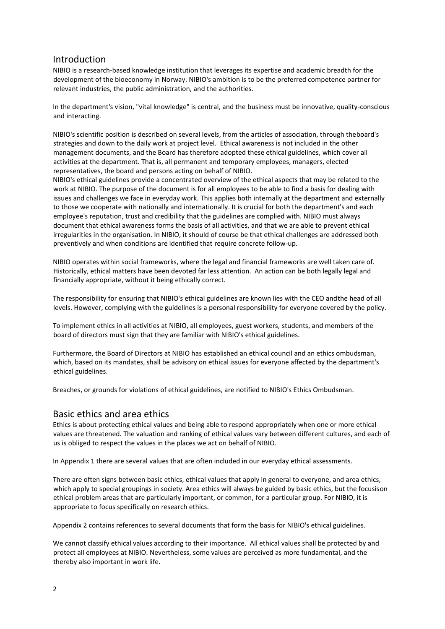# Introduction

NIBIO is a research-based knowledge institution that leverages its expertise and academic breadth for the development of the bioeconomy in Norway. NIBIO's ambition is to be the preferred competence partner for relevant industries, the public administration, and the authorities.

In the department's vision, "vital knowledge" is central, and the business must be innovative, quality-conscious and interacting.

NIBIO's scientific position is described on several levels, from the articles of association, through theboard's strategies and down to the daily work at project level. Ethical awareness is not included in the other management documents, and the Board has therefore adopted these ethical guidelines, which cover all activities at the department. That is, all permanent and temporary employees, managers, elected representatives, the board and persons acting on behalf of NIBIO.

NIBIO's ethical guidelines provide a concentrated overview of the ethical aspects that may be related to the work at NIBIO. The purpose of the document is for all employees to be able to find a basis for dealing with issues and challenges we face in everyday work. This applies both internally at the department and externally to those we cooperate with nationally and internationally. It is crucial for both the department's and each employee's reputation, trust and credibility that the guidelines are complied with. NIBIO must always document that ethical awareness forms the basis of all activities, and that we are able to prevent ethical irregularities in the organisation. In NIBIO, it should of course be that ethical challenges are addressed both preventively and when conditions are identified that require concrete follow-up.

NIBIO operates within social frameworks, where the legal and financial frameworks are well taken care of. Historically, ethical matters have been devoted far less attention. An action can be both legally legal and financially appropriate, without it being ethically correct.

The responsibility for ensuring that NIBIO's ethical guidelines are known lies with the CEO andthe head of all levels. However, complying with the guidelines is a personal responsibility for everyone covered by the policy.

To implement ethics in all activities at NIBIO, all employees, guest workers, students, and members of the board of directors must sign that they are familiar with NIBIO's ethical guidelines.

Furthermore, the Board of Directors at NIBIO has established an ethical council and an ethics ombudsman, which, based on its mandates, shall be advisory on ethical issues for everyone affected by the department's ethical guidelines.

Breaches, or grounds for violations of ethical guidelines, are notified to NIBIO's Ethics Ombudsman.

# Basic ethics and area ethics

Ethics is about protecting ethical values and being able to respond appropriately when one or more ethical values are threatened. The valuation and ranking of ethical values vary between different cultures, and each of us is obliged to respect the values in the places we act on behalf of NIBIO.

In Appendix 1 there are several values that are often included in our everyday ethical assessments.

There are often signs between basic ethics, ethical values that apply in general to everyone, and area ethics, which apply to special groupings in society. Area ethics will always be guided by basic ethics, but the focusison ethical problem areas that are particularly important, or common, for a particular group. For NIBIO, it is appropriate to focus specifically on research ethics.

Appendix 2 contains references to several documents that form the basis for NIBIO's ethical guidelines.

We cannot classify ethical values according to their importance. All ethical values shall be protected by and protect all employees at NIBIO. Nevertheless, some values are perceived as more fundamental, and the thereby also important in work life.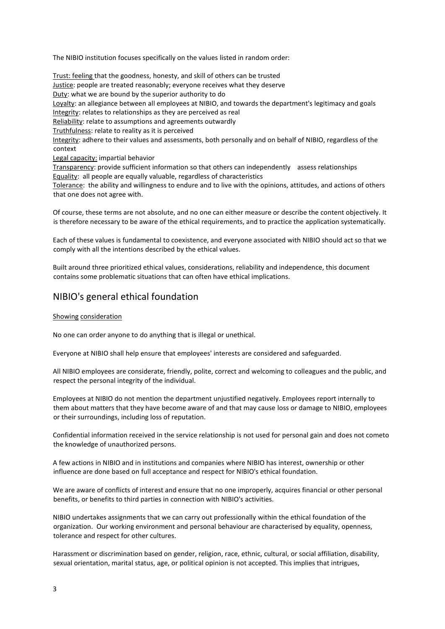The NIBIO institution focuses specifically on the values listed in random order:

Trust: feeling that the goodness, honesty, and skill of others can be trusted Justice: people are treated reasonably; everyone receives what they deserve Duty: what we are bound by the superior authority to do Loyalty: an allegiance between all employees at NIBIO, and towards the department's legitimacy and goals Integrity: relates to relationships as they are perceived as real Reliability: relate to assumptions and agreements outwardly Truthfulness: relate to reality as it is perceived Integrity: adhere to their values and assessments, both personally and on behalf of NIBIO, regardless of the context Legal capacity: impartial behavior Transparency: provide sufficient information so that others can independently assess relationships Equality: all people are equally valuable, regardless of characteristics

Tolerance: the ability and willingness to endure and to live with the opinions, attitudes, and actions of others that one does not agree with.

Of course, these terms are not absolute, and no one can either measure or describe the content objectively. It is therefore necessary to be aware of the ethical requirements, and to practice the application systematically.

Each of these values is fundamental to coexistence, and everyone associated with NIBIO should act so that we comply with all the intentions described by the ethical values.

Built around three prioritized ethical values, considerations, reliability and independence, this document contains some problematic situations that can often have ethical implications.

# NIBIO's general ethical foundation

### Showing consideration

No one can order anyone to do anything that is illegal or unethical.

Everyone at NIBIO shall help ensure that employees' interests are considered and safeguarded.

All NIBIO employees are considerate, friendly, polite, correct and welcoming to colleagues and the public, and respect the personal integrity of the individual.

Employees at NIBIO do not mention the department unjustified negatively. Employees report internally to them about matters that they have become aware of and that may cause loss or damage to NIBIO, employees or their surroundings, including loss of reputation.

Confidential information received in the service relationship is not used for personal gain and does not cometo the knowledge of unauthorized persons.

A few actions in NIBIO and in institutions and companies where NIBIO has interest, ownership or other influence are done based on full acceptance and respect for NIBIO's ethical foundation.

We are aware of conflicts of interest and ensure that no one improperly, acquires financial or other personal benefits, or benefits to third parties in connection with NIBIO's activities.

NIBIO undertakes assignments that we can carry out professionally within the ethical foundation of the organization. Our working environment and personal behaviour are characterised by equality, openness, tolerance and respect for other cultures.

Harassment or discrimination based on gender, religion, race, ethnic, cultural, or social affiliation, disability, sexual orientation, marital status, age, or political opinion is not accepted. This implies that intrigues,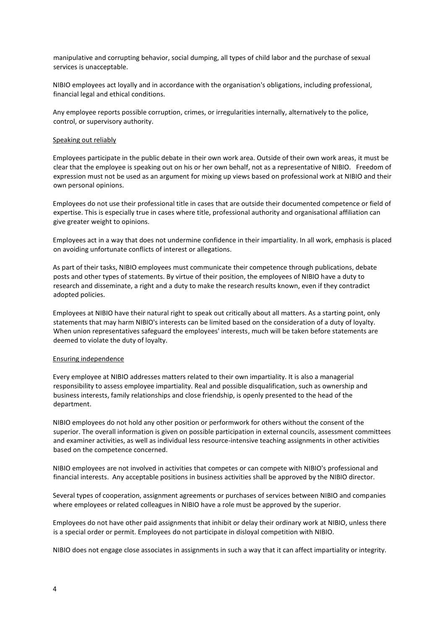manipulative and corrupting behavior, social dumping, all types of child labor and the purchase of sexual services is unacceptable.

NIBIO employees act loyally and in accordance with the organisation's obligations, including professional, financial legal and ethical conditions.

Any employee reports possible corruption, crimes, or irregularities internally, alternatively to the police, control, or supervisory authority.

### Speaking out reliably

Employees participate in the public debate in their own work area. Outside of their own work areas, it must be clear that the employee is speaking out on his or her own behalf, not as a representative of NIBIO. Freedom of expression must not be used as an argument for mixing up views based on professional work at NIBIO and their own personal opinions.

Employees do not use their professional title in cases that are outside their documented competence or field of expertise. This is especially true in cases where title, professional authority and organisational affiliation can give greater weight to opinions.

Employees act in a way that does not undermine confidence in their impartiality. In all work, emphasis is placed on avoiding unfortunate conflicts of interest or allegations.

As part of their tasks, NIBIO employees must communicate their competence through publications, debate posts and other types of statements. By virtue of their position, the employees of NIBIO have a duty to research and disseminate, a right and a duty to make the research results known, even if they contradict adopted policies.

Employees at NIBIO have their natural right to speak out critically about all matters. As a starting point, only statements that may harm NIBIO's interests can be limited based on the consideration of a duty of loyalty. When union representatives safeguard the employees' interests, much will be taken before statements are deemed to violate the duty of loyalty.

#### Ensuring independence

Every employee at NIBIO addresses matters related to their own impartiality. It is also a managerial responsibility to assess employee impartiality. Real and possible disqualification, such as ownership and business interests, family relationships and close friendship, is openly presented to the head of the department.

NIBIO employees do not hold any other position or performwork for others without the consent of the superior. The overall information is given on possible participation in external councils, assessment committees and examiner activities, as well as individual less resource-intensive teaching assignments in other activities based on the competence concerned.

NIBIO employees are not involved in activities that competes or can compete with NIBIO's professional and financial interests. Any acceptable positions in business activities shall be approved by the NIBIO director.

Several types of cooperation, assignment agreements or purchases of services between NIBIO and companies where employees or related colleagues in NIBIO have a role must be approved by the superior.

Employees do not have other paid assignments that inhibit or delay their ordinary work at NIBIO, unless there is a special order or permit. Employees do not participate in disloyal competition with NIBIO.

NIBIO does not engage close associates in assignments in such a way that it can affect impartiality or integrity.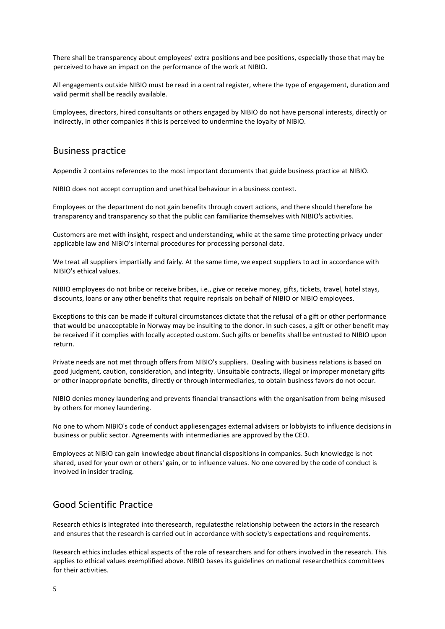There shall be transparency about employees' extra positions and bee positions, especially those that may be perceived to have an impact on the performance of the work at NIBIO.

All engagements outside NIBIO must be read in a central register, where the type of engagement, duration and valid permit shall be readily available.

Employees, directors, hired consultants or others engaged by NIBIO do not have personal interests, directly or indirectly, in other companies if this is perceived to undermine the loyalty of NIBIO.

# Business practice

Appendix 2 contains references to the most important documents that guide business practice at NIBIO.

NIBIO does not accept corruption and unethical behaviour in a business context.

Employees or the department do not gain benefits through covert actions, and there should therefore be transparency and transparency so that the public can familiarize themselves with NIBIO's activities.

Customers are met with insight, respect and understanding, while at the same time protecting privacy under applicable law and NIBIO's internal procedures for processing personal data.

We treat all suppliers impartially and fairly. At the same time, we expect suppliers to act in accordance with NIBIO's ethical values.

NIBIO employees do not bribe or receive bribes, i.e., give or receive money, gifts, tickets, travel, hotel stays, discounts, loans or any other benefits that require reprisals on behalf of NIBIO or NIBIO employees.

Exceptions to this can be made if cultural circumstances dictate that the refusal of a gift or other performance that would be unacceptable in Norway may be insulting to the donor. In such cases, a gift or other benefit may be received if it complies with locally accepted custom. Such gifts or benefits shall be entrusted to NIBIO upon return.

Private needs are not met through offers from NIBIO's suppliers. Dealing with business relations is based on good judgment, caution, consideration, and integrity. Unsuitable contracts, illegal or improper monetary gifts or other inappropriate benefits, directly or through intermediaries, to obtain business favors do not occur.

NIBIO denies money laundering and prevents financial transactions with the organisation from being misused by others for money laundering.

No one to whom NIBIO's code of conduct appliesengages external advisers or lobbyists to influence decisions in business or public sector. Agreements with intermediaries are approved by the CEO.

Employees at NIBIO can gain knowledge about financial dispositions in companies. Such knowledge is not shared, used for your own or others' gain, or to influence values. No one covered by the code of conduct is involved in insider trading.

# Good Scientific Practice

Research ethics is integrated into theresearch, regulatesthe relationship between the actors in the research and ensures that the research is carried out in accordance with society's expectations and requirements.

Research ethics includes ethical aspects of the role of researchers and for others involved in the research. This applies to ethical values exemplified above. NIBIO bases its guidelines on national researchethics committees for their activities.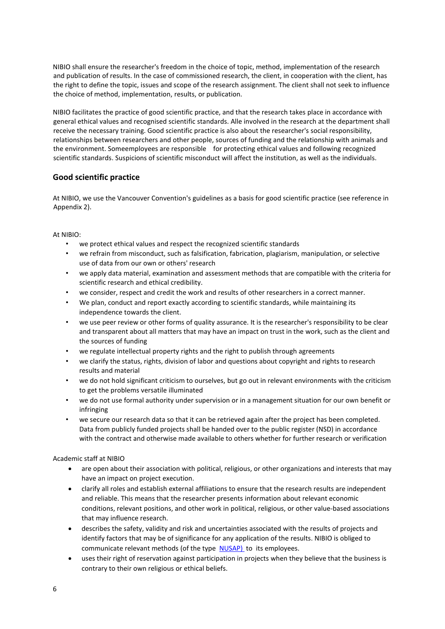NIBIO shall ensure the researcher's freedom in the choice of topic, method, implementation of the research and publication of results. In the case of commissioned research, the client, in cooperation with the client, has the right to define the topic, issues and scope of the research assignment. The client shall not seek to influence the choice of method, implementation, results, or publication.

NIBIO facilitates the practice of good scientific practice, and that the research takes place in accordance with general ethical values and recognised scientific standards. Alle involved in the research at the department shall receive the necessary training. Good scientific practice is also about the researcher's social responsibility, relationships between researchers and other people, sources of funding and the relationship with animals and the environment. Someemployees are responsible for protecting ethical values and following recognized scientific standards. Suspicions of scientific misconduct will affect the institution, as well as the individuals.

# **Good scientific practice**

At NIBIO, we use the Vancouver Convention's guidelines as a basis for good scientific practice (see reference in Appendix 2).

### At NIBIO:

- we protect ethical values and respect the recognized scientific standards
- we refrain from misconduct, such as falsification, fabrication, plagiarism, manipulation, or selective use of data from our own or others' research
- we apply data material, examination and assessment methods that are compatible with the criteria for scientific research and ethical credibility.
- we consider, respect and credit the work and results of other researchers in a correct manner.
- We plan, conduct and report exactly according to scientific standards, while maintaining its independence towards the client.
- we use peer review or other forms of quality assurance. It is the researcher's responsibility to be clear and transparent about all matters that may have an impact on trust in the work, such as the client and the sources of funding
- we regulate intellectual property rights and the right to publish through agreements
- we clarify the status, rights, division of labor and questions about copyright and rights to research results and material
- we do not hold significant criticism to ourselves, but go out in relevant environments with the criticism to get the problems versatile illuminated
- we do not use formal authority under supervision or in a management situation for our own benefit or infringing
- we secure our research data so that it can be retrieved again after the project has been completed. Data from publicly funded projects shall be handed over to the public register (NSD) in accordance with the contract and otherwise made available to others whether for further research or verification

## Academic staff at NIBIO

- are open about their association with political, religious, or other organizations and interests that may have an impact on project execution.
- clarify all roles and establish external affiliations to ensure that the research results are independent and reliable. This means that the researcher presents information about relevant economic conditions, relevant positions, and other work in political, religious, or other value-based associations that may influence research.
- describes the safety, validity and risk and uncertainties associated with the results of projects and identify factors that may be of significance for any application of the results. NIBIO is obliged to communicate relevant methods (of the type [NUSAP\)](http://www.nusap.net/) to its employees.
- uses their right of reservation against participation in projects when they believe that the business is contrary to their own religious or ethical beliefs.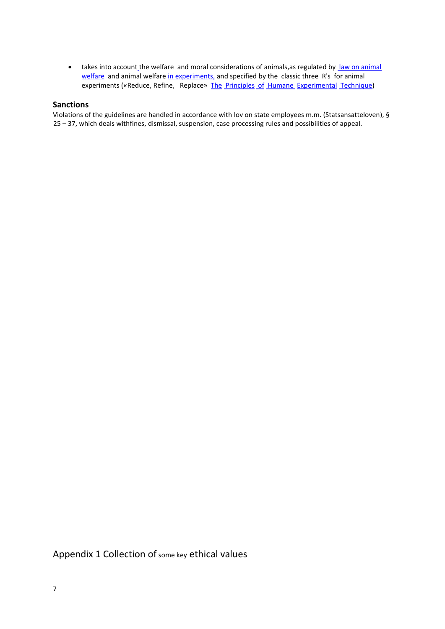• [t](http://www.mattilsynet.no/dyr_og_dyrehold/dyrevelferd/forsoksdyr/forskrift_om_bruk_av_dyr_i_forsok.18740/binary/Forskrift%20om%20bruk%20av%20dyr%20i%20fors%C3%B8k)akes into account the welfare and moral considerations of animals, as regulated by law on animal welfare and animal welfare [in experiments,](http://www.mattilsynet.no/dyr_og_dyrehold/dyrevelferd/forsoksdyr/forskrift_om_bruk_av_dyr_i_forsok.18740/binary/Forskrift%20om%20bruk%20av%20dyr%20i%20fors%C3%B8k) and specified by the classic three R's for animal experiments («Reduce, Refine, Replace» [The](http://altweb.jhsph.edu/pubs/books/humane_exp/het-toc) [Principles](http://altweb.jhsph.edu/pubs/books/humane_exp/het-toc) [of](http://altweb.jhsph.edu/pubs/books/humane_exp/het-toc) [Humane Experimental](http://altweb.jhsph.edu/pubs/books/humane_exp/het-toc) [Technique\)](http://altweb.jhsph.edu/pubs/books/humane_exp/het-toc)

### **Sanctions**

Violations of the guidelines are handled in accordance with lov on state employees m.m. (Statsansatteloven), § 25 – 37, which deals withfines, dismissal, suspension, case processing rules and possibilities of appeal.

Appendix 1 Collection of some key ethical values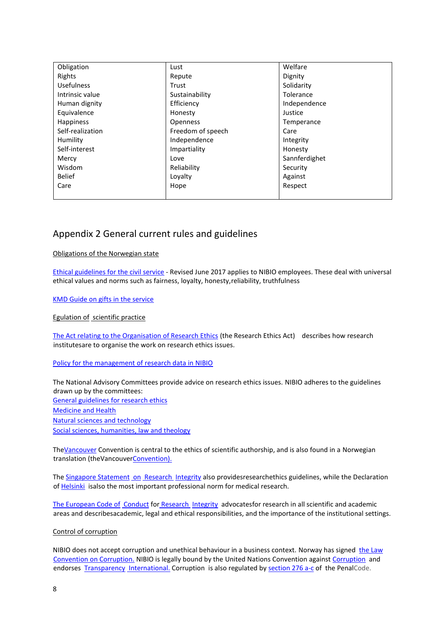| Obligation        | Lust              | Welfare       |
|-------------------|-------------------|---------------|
| Rights            | Repute            | Dignity       |
| <b>Usefulness</b> | Trust             | Solidarity    |
| Intrinsic value   | Sustainability    | Tolerance     |
| Human dignity     | Efficiency        | Independence  |
| Equivalence       | Honesty           | Justice       |
| <b>Happiness</b>  | <b>Openness</b>   | Temperance    |
| Self-realization  | Freedom of speech | Care          |
| Humility          | Independence      | Integrity     |
| Self-interest     | Impartiality      | Honesty       |
| Mercy             | Love              | Sannferdighet |
| Wisdom            | Reliability       | Security      |
| <b>Belief</b>     | Loyalty           | Against       |
| Care              | Hope              | Respect       |
|                   |                   |               |

# Appendix 2 General current rules and guidelines

### Obligations of the Norwegian state

[Ethical guidelines for the civil service](https://www.regjeringen.no/no/dokumenter/etiske-retningslinjer-for-statstjenesten/id88164/) - Revised June 2017 applies to NIBIO employees. These deal with universal ethical values and norms such as fairness, loyalty, honesty,reliability, truthfulness

[KMD Guide on gifts in the service](https://www.regjeringen.no/no/dokumenter/Veileder-om-gaver-i-tjenesten/id757296/)

Egulation of scientific practice

[The Act relating to the Organisation of Research Ethics](https://lovdata.no/dokument/NL/lov/2017-04-28-23?q=forskningsetikk) (the Research Ethics Act) describes how research institutesare to organise the work on research ethics issues.

#### [Policy for the management of](https://intranett.nibio.no/hb-styring/styring/styrendedokumenter/Sider/Interne-policyer.aspx) [research data in NIBIO](https://intranett.nibio.no/hb-styring/styring/styrendedokumenter/Sider/Interne-policyer.aspx)

The National Advisory Committees provide advice on research ethics issues. NIBIO adheres to the guidelines drawn up by the committees: [General guidelines for research ethics](https://www.etikkom.no/forskningsetiske-retningslinjer/Generelle-forskningsetiske-retningslinjer/) [Medicine and Health](https://www.etikkom.no/forskningsetiske-retningslinjer/Medisin-og-helse/) [Natural sciences and technology](https://www.etikkom.no/forskningsetiske-retningslinjer/naturvitenskap-og-teknologi/) [Social sciences, humanities, law and theology](https://www.etikkom.no/forskningsetiske-retningslinjer/Samfunnsvitenskap-jus-og-humaniora/)

Th[eVancouver](http://www.icmje.org/recommendations/) Convention is central to the ethics of scientific authorship, and is also found in a Norwegian translation (theVancouve[rConvention\).](https://www.etikkom.no/tools/a-a/?topicid=13144&fragment=True)

The [Singapore Statement](http://www.singaporestatement.org/) [on](http://www.singaporestatement.org/) [Research Integrity](http://www.singaporestatement.org/) also [providesr](http://www.singaporestatement.org/)esearchethics guidelines, while the Declaration of [Helsinki](http://www.wma.net/en/30publications/10policies/b3/index.html) [isa](http://www.wma.net/en/30publications/10policies/b3/index.html)lso the most important professional norm for medical research.

[The European Code of](http://www.allea.org/wp-content/uploads/2017/03/ALLEA-European-Code-of-Conduct-for-Research-Integrity-2017-1.pdf) [Conduct](http://www.allea.org/wp-content/uploads/2017/03/ALLEA-European-Code-of-Conduct-for-Research-Integrity-2017-1.pdf) for [Research Integrity](http://www.allea.org/wp-content/uploads/2017/03/ALLEA-European-Code-of-Conduct-for-Research-Integrity-2017-1.pdf) [advocatesf](http://www.allea.org/wp-content/uploads/2017/03/ALLEA-European-Code-of-Conduct-for-Research-Integrity-2017-1.pdf)or research in all scientific and academic areas and describesacademic, legal and ethical responsibilities, and the importance of the institutional settings.

#### Control of corruption

NIBIO does not accept corruption and unethical behaviour in a business context. Norway has signed the Law Convention on Corruption. NIBIO is legally bound by the United Nations Convention against [Corruption](http://www.unodc.org/unodc/en/treaties/CAC/index.html#UNCACfulltext) and endorses [Transparency](https://www.google.no/?gws_rd=ssl#q=transparency+international) [International.](https://www.google.no/?gws_rd=ssl#q=transparency+international) Corruption is also regulated by [section 276 a-c](https://lovdata.no/dokument/NL/lov/1902-05-22-10/KAPITTEL_2-19#KAPITTEL_2-19) of the Pen[alCode.](https://lovdata.no/dokument/NL/lov/1902-05-22-10/KAPITTEL_2-19#KAPITTEL_2-19)